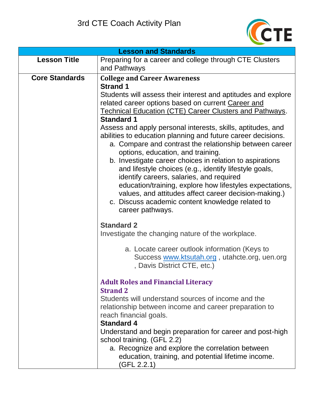

| <b>Lesson and Standards</b> |                                                                                                                                                                                                                                                                                                                                                                                                                                                                                                                                                                                                                 |  |
|-----------------------------|-----------------------------------------------------------------------------------------------------------------------------------------------------------------------------------------------------------------------------------------------------------------------------------------------------------------------------------------------------------------------------------------------------------------------------------------------------------------------------------------------------------------------------------------------------------------------------------------------------------------|--|
| <b>Lesson Title</b>         | Preparing for a career and college through CTE Clusters<br>and Pathways                                                                                                                                                                                                                                                                                                                                                                                                                                                                                                                                         |  |
| <b>Core Standards</b>       | <b>College and Career Awareness</b><br><b>Strand 1</b><br>Students will assess their interest and aptitudes and explore<br>related career options based on current Career and<br><b>Technical Education (CTE) Career Clusters and Pathways.</b>                                                                                                                                                                                                                                                                                                                                                                 |  |
|                             | <b>Standard 1</b><br>Assess and apply personal interests, skills, aptitudes, and<br>abilities to education planning and future career decisions.<br>a. Compare and contrast the relationship between career<br>options, education, and training.<br>b. Investigate career choices in relation to aspirations<br>and lifestyle choices (e.g., identify lifestyle goals,<br>identify careers, salaries, and required<br>education/training, explore how lifestyles expectations,<br>values, and attitudes affect career decision-making.)<br>c. Discuss academic content knowledge related to<br>career pathways. |  |
|                             | <b>Standard 2</b><br>Investigate the changing nature of the workplace.<br>a. Locate career outlook information (Keys to<br>Success www.ktsutah.org, utahcte.org, uen.org<br>, Davis District CTE, etc.)                                                                                                                                                                                                                                                                                                                                                                                                         |  |
|                             | <b>Adult Roles and Financial Literacy</b><br><b>Strand 2</b><br>Students will understand sources of income and the<br>relationship between income and career preparation to<br>reach financial goals.<br><b>Standard 4</b><br>Understand and begin preparation for career and post-high<br>school training. (GFL 2.2)<br>a. Recognize and explore the correlation between<br>education, training, and potential lifetime income.<br>(GFL 2.2.1)                                                                                                                                                                 |  |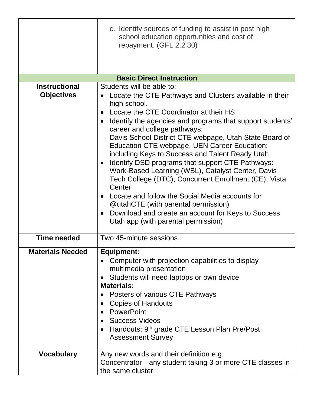|                                           | c. Identify sources of funding to assist in post high<br>school education opportunities and cost of<br>repayment. (GFL 2.2.30)                                                                                                                                                                                                                                                                                                                                                                                                                                                                                                                                                                                                                                                                        |
|-------------------------------------------|-------------------------------------------------------------------------------------------------------------------------------------------------------------------------------------------------------------------------------------------------------------------------------------------------------------------------------------------------------------------------------------------------------------------------------------------------------------------------------------------------------------------------------------------------------------------------------------------------------------------------------------------------------------------------------------------------------------------------------------------------------------------------------------------------------|
|                                           |                                                                                                                                                                                                                                                                                                                                                                                                                                                                                                                                                                                                                                                                                                                                                                                                       |
|                                           | <b>Basic Direct Instruction</b>                                                                                                                                                                                                                                                                                                                                                                                                                                                                                                                                                                                                                                                                                                                                                                       |
| <b>Instructional</b><br><b>Objectives</b> | Students will be able to:<br>Locate the CTE Pathways and Clusters available in their<br>high school.<br>Locate the CTE Coordinator at their HS<br>ldentify the agencies and programs that support students'<br>$\bullet$<br>career and college pathways:<br>Davis School District CTE webpage, Utah State Board of<br>Education CTE webpage, UEN Career Education;<br>including Keys to Success and Talent Ready Utah<br>Identify DSD programs that support CTE Pathways:<br>Work-Based Learning (WBL), Catalyst Center, Davis<br>Tech College (DTC), Concurrent Enrollment (CE), Vista<br>Center<br>Locate and follow the Social Media accounts for<br>@utahCTE (with parental permission)<br>Download and create an account for Keys to Success<br>$\bullet$<br>Utah app (with parental permission) |
| <b>Time needed</b>                        | Two 45-minute sessions                                                                                                                                                                                                                                                                                                                                                                                                                                                                                                                                                                                                                                                                                                                                                                                |
| <b>Materials Needed</b>                   | Equipment:<br>Computer with projection capabilities to display<br>multimedia presentation<br>Students will need laptops or own device<br>$\bullet$<br><b>Materials:</b><br>Posters of various CTE Pathways<br><b>Copies of Handouts</b><br>PowerPoint<br>Success Videos<br>Handouts: 9 <sup>th</sup> grade CTE Lesson Plan Pre/Post<br><b>Assessment Survey</b>                                                                                                                                                                                                                                                                                                                                                                                                                                       |
| <b>Vocabulary</b>                         | Any new words and their definition e.g.<br>Concentrator—any student taking 3 or more CTE classes in<br>the same cluster                                                                                                                                                                                                                                                                                                                                                                                                                                                                                                                                                                                                                                                                               |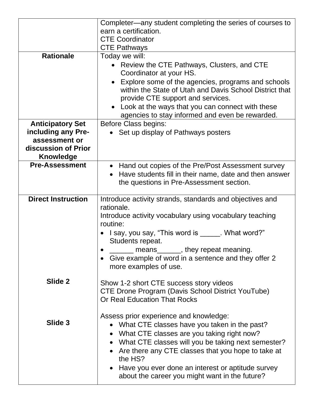|                           | Completer—any student completing the series of courses to                                                                                          |
|---------------------------|----------------------------------------------------------------------------------------------------------------------------------------------------|
|                           | earn a certification.                                                                                                                              |
|                           | <b>CTE Coordinator</b>                                                                                                                             |
|                           | <b>CTE Pathways</b>                                                                                                                                |
| <b>Rationale</b>          | Today we will:                                                                                                                                     |
|                           | • Review the CTE Pathways, Clusters, and CTE                                                                                                       |
|                           | Coordinator at your HS.                                                                                                                            |
|                           | Explore some of the agencies, programs and schools<br>within the State of Utah and Davis School District that<br>provide CTE support and services. |
|                           | • Look at the ways that you can connect with these                                                                                                 |
|                           | agencies to stay informed and even be rewarded.                                                                                                    |
| <b>Anticipatory Set</b>   | <b>Before Class begins:</b>                                                                                                                        |
| including any Pre-        | Set up display of Pathways posters                                                                                                                 |
| assessment or             |                                                                                                                                                    |
| discussion of Prior       |                                                                                                                                                    |
| <b>Knowledge</b>          |                                                                                                                                                    |
| <b>Pre-Assessment</b>     | • Hand out copies of the Pre/Post Assessment survey                                                                                                |
|                           | Have students fill in their name, date and then answer                                                                                             |
|                           | the questions in Pre-Assessment section.                                                                                                           |
|                           |                                                                                                                                                    |
| <b>Direct Instruction</b> | Introduce activity strands, standards and objectives and                                                                                           |
|                           | rationale.                                                                                                                                         |
|                           | Introduce activity vocabulary using vocabulary teaching                                                                                            |
|                           | routine:                                                                                                                                           |
|                           | I say, you say, "This word is ______. What word?"                                                                                                  |
|                           | Students repeat.                                                                                                                                   |
|                           | means_______, they repeat meaning.                                                                                                                 |
|                           | Give example of word in a sentence and they offer 2                                                                                                |
|                           | more examples of use.                                                                                                                              |
| Slide 2                   | Show 1-2 short CTE success story videos<br><b>CTE Drone Program (Davis School District YouTube)</b><br><b>Or Real Education That Rocks</b>         |
|                           | Assess prior experience and knowledge:                                                                                                             |
| Slide 3                   | What CTE classes have you taken in the past?                                                                                                       |
|                           | What CTE classes are you taking right now?                                                                                                         |
|                           | • What CTE classes will you be taking next semester?                                                                                               |
|                           | Are there any CTE classes that you hope to take at                                                                                                 |
|                           | the HS?                                                                                                                                            |
|                           | Have you ever done an interest or aptitude survey                                                                                                  |
|                           | about the career you might want in the future?                                                                                                     |
|                           |                                                                                                                                                    |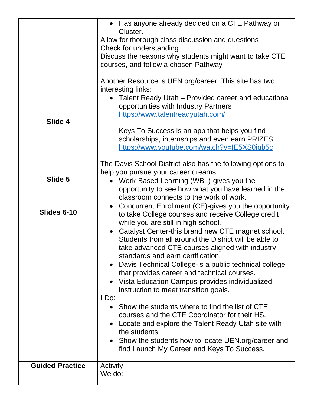| Slide 4                | • Has anyone already decided on a CTE Pathway or<br>Cluster.<br>Allow for thorough class discussion and questions<br>Check for understanding<br>Discuss the reasons why students might want to take CTE<br>courses, and follow a chosen Pathway<br>Another Resource is UEN.org/career. This site has two<br>interesting links:<br>• Talent Ready Utah – Provided career and educational<br>opportunities with Industry Partners<br>https://www.talentreadyutah.com/<br>Keys To Success is an app that helps you find<br>scholarships, internships and even earn PRIZES!<br>https://www.youtube.com/watch?v=IE5XS0jgb5c                                                                                                                                                                                                                                                                                                                                                                                                                      |
|------------------------|---------------------------------------------------------------------------------------------------------------------------------------------------------------------------------------------------------------------------------------------------------------------------------------------------------------------------------------------------------------------------------------------------------------------------------------------------------------------------------------------------------------------------------------------------------------------------------------------------------------------------------------------------------------------------------------------------------------------------------------------------------------------------------------------------------------------------------------------------------------------------------------------------------------------------------------------------------------------------------------------------------------------------------------------|
| Slide 5<br>Slides 6-10 | The Davis School District also has the following options to<br>help you pursue your career dreams:<br>Work-Based Learning (WBL)-gives you the<br>$\bullet$<br>opportunity to see how what you have learned in the<br>classroom connects to the work of work.<br>Concurrent Enrollment (CE)-gives you the opportunity<br>$\bullet$<br>to take College courses and receive College credit<br>while you are still in high school.<br>• Catalyst Center-this brand new CTE magnet school.<br>Students from all around the District will be able to<br>take advanced CTE courses aligned with industry<br>standards and earn certification.<br>Davis Technical College-is a public technical college<br>that provides career and technical courses.<br>Vista Education Campus-provides individualized<br>$\bullet$<br>instruction to meet transition goals.<br>I Do:<br>• Show the students where to find the list of CTE<br>courses and the CTE Coordinator for their HS.<br>Locate and explore the Talent Ready Utah site with<br>the students |
| <b>Guided Practice</b> | • Show the students how to locate UEN.org/career and<br>find Launch My Career and Keys To Success.<br>Activity                                                                                                                                                                                                                                                                                                                                                                                                                                                                                                                                                                                                                                                                                                                                                                                                                                                                                                                              |
|                        | We do:                                                                                                                                                                                                                                                                                                                                                                                                                                                                                                                                                                                                                                                                                                                                                                                                                                                                                                                                                                                                                                      |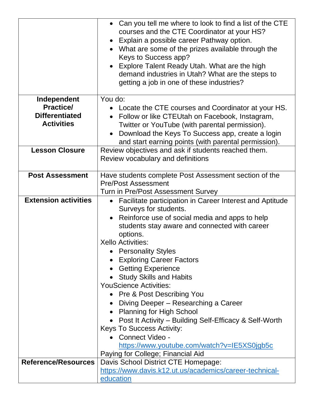|                             | • Can you tell me where to look to find a list of the CTE<br>courses and the CTE Coordinator at your HS?<br>• Explain a possible career Pathway option.<br>• What are some of the prizes available through the<br>Keys to Success app?<br>• Explore Talent Ready Utah. What are the high<br>demand industries in Utah? What are the steps to |
|-----------------------------|----------------------------------------------------------------------------------------------------------------------------------------------------------------------------------------------------------------------------------------------------------------------------------------------------------------------------------------------|
|                             | getting a job in one of these industries?                                                                                                                                                                                                                                                                                                    |
| Independent                 | You do:                                                                                                                                                                                                                                                                                                                                      |
| <b>Practice/</b>            | • Locate the CTE courses and Coordinator at your HS.                                                                                                                                                                                                                                                                                         |
| <b>Differentiated</b>       | • Follow or like CTEUtah on Facebook, Instagram,                                                                                                                                                                                                                                                                                             |
| <b>Activities</b>           | Twitter or YouTube (with parental permission).                                                                                                                                                                                                                                                                                               |
|                             | Download the Keys To Success app, create a login<br>$\bullet$                                                                                                                                                                                                                                                                                |
|                             | and start earning points (with parental permission).                                                                                                                                                                                                                                                                                         |
| <b>Lesson Closure</b>       | Review objectives and ask if students reached them.                                                                                                                                                                                                                                                                                          |
|                             | Review vocabulary and definitions                                                                                                                                                                                                                                                                                                            |
| <b>Post Assessment</b>      | Have students complete Post Assessment section of the                                                                                                                                                                                                                                                                                        |
|                             | <b>Pre/Post Assessment</b>                                                                                                                                                                                                                                                                                                                   |
|                             | Turn in Pre/Post Assessment Survey                                                                                                                                                                                                                                                                                                           |
| <b>Extension activities</b> | Facilitate participation in Career Interest and Aptitude<br>$\bullet$                                                                                                                                                                                                                                                                        |
|                             | Surveys for students.                                                                                                                                                                                                                                                                                                                        |
|                             | Reinforce use of social media and apps to help                                                                                                                                                                                                                                                                                               |
|                             | students stay aware and connected with career                                                                                                                                                                                                                                                                                                |
|                             | options.                                                                                                                                                                                                                                                                                                                                     |
|                             | <b>Xello Activities:</b>                                                                                                                                                                                                                                                                                                                     |
|                             | • Personality Styles                                                                                                                                                                                                                                                                                                                         |
|                             | <b>Exploring Career Factors</b>                                                                                                                                                                                                                                                                                                              |
|                             | • Getting Experience                                                                                                                                                                                                                                                                                                                         |
|                             | • Study Skills and Habits                                                                                                                                                                                                                                                                                                                    |
|                             | <b>YouScience Activities:</b>                                                                                                                                                                                                                                                                                                                |
|                             | <b>Pre &amp; Post Describing You</b>                                                                                                                                                                                                                                                                                                         |
|                             | • Diving Deeper – Researching a Career<br>• Planning for High School                                                                                                                                                                                                                                                                         |
|                             | • Post It Activity – Building Self-Efficacy & Self-Worth                                                                                                                                                                                                                                                                                     |
|                             | <b>Keys To Success Activity:</b>                                                                                                                                                                                                                                                                                                             |
|                             | Connect Video -                                                                                                                                                                                                                                                                                                                              |
|                             | https://www.youtube.com/watch?v=IE5XS0jgb5c                                                                                                                                                                                                                                                                                                  |
|                             | Paying for College; Financial Aid                                                                                                                                                                                                                                                                                                            |
| <b>Reference/Resources</b>  | Davis School District CTE Homepage:                                                                                                                                                                                                                                                                                                          |
|                             | https://www.davis.k12.ut.us/academics/career-technical-                                                                                                                                                                                                                                                                                      |
|                             | education                                                                                                                                                                                                                                                                                                                                    |